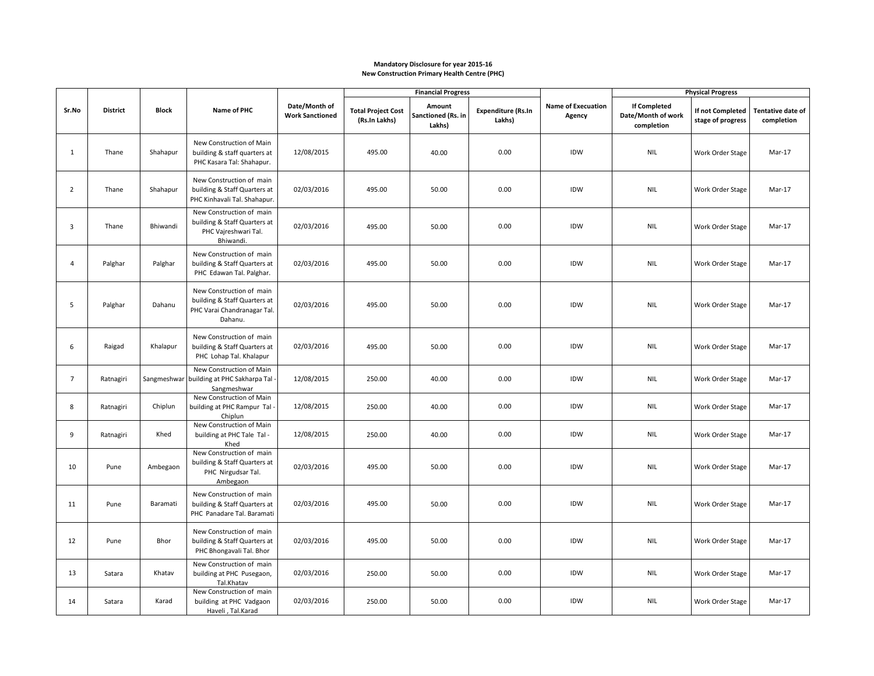## **Mandatory Disclosure for year 2015-16 New Construction Primary Health Centre (PHC)**

|                |                 |              |                                                                                                    |                                         | <b>Financial Progress</b>                  |                                        |                                     |                                     | <b>Physical Progress</b>                                |                                       |                                        |
|----------------|-----------------|--------------|----------------------------------------------------------------------------------------------------|-----------------------------------------|--------------------------------------------|----------------------------------------|-------------------------------------|-------------------------------------|---------------------------------------------------------|---------------------------------------|----------------------------------------|
| Sr.No          | <b>District</b> | <b>Block</b> | Name of PHC                                                                                        | Date/Month of<br><b>Work Sanctioned</b> | <b>Total Project Cost</b><br>(Rs.In Lakhs) | Amount<br>Sanctioned (Rs. in<br>Lakhs) | <b>Expenditure (Rs.In</b><br>Lakhs) | <b>Name of Execuation</b><br>Agency | <b>If Completed</b><br>Date/Month of work<br>completion | If not Completed<br>stage of progress | <b>Tentative date of</b><br>completion |
| $\mathbf{1}$   | Thane           | Shahapur     | New Construction of Main<br>building & staff quarters at<br>PHC Kasara Tal: Shahapur.              | 12/08/2015                              | 495.00                                     | 40.00                                  | 0.00                                | IDW                                 | <b>NIL</b>                                              | Work Order Stage                      | Mar-17                                 |
| $\overline{2}$ | Thane           | Shahapur     | New Construction of main<br>building & Staff Quarters at<br>PHC Kinhavali Tal. Shahapur.           | 02/03/2016                              | 495.00                                     | 50.00                                  | 0.00                                | IDW                                 | <b>NIL</b>                                              | Work Order Stage                      | Mar-17                                 |
| $\overline{3}$ | Thane           | Bhiwandi     | New Construction of main<br>building & Staff Quarters at<br>PHC Vajreshwari Tal.<br>Bhiwandi.      | 02/03/2016                              | 495.00                                     | 50.00                                  | 0.00                                | IDW                                 | <b>NIL</b>                                              | Work Order Stage                      | Mar-17                                 |
| $\overline{4}$ | Palghar         | Palghar      | New Construction of main<br>building & Staff Quarters at<br>PHC Edawan Tal. Palghar.               | 02/03/2016                              | 495.00                                     | 50.00                                  | 0.00                                | IDW                                 | <b>NIL</b>                                              | Work Order Stage                      | Mar-17                                 |
| 5              | Palghar         | Dahanu       | New Construction of main<br>building & Staff Quarters at<br>PHC Varai Chandranagar Tal.<br>Dahanu. | 02/03/2016                              | 495.00                                     | 50.00                                  | 0.00                                | IDW                                 | <b>NIL</b>                                              | Work Order Stage                      | Mar-17                                 |
| 6              | Raigad          | Khalapur     | New Construction of main<br>building & Staff Quarters at<br>PHC Lohap Tal. Khalapur                | 02/03/2016                              | 495.00                                     | 50.00                                  | 0.00                                | IDW                                 | <b>NIL</b>                                              | Work Order Stage                      | Mar-17                                 |
| $\overline{7}$ | Ratnagiri       | Sangmeshwar  | New Construction of Main<br>building at PHC Sakharpa Tal -<br>Sangmeshwar                          | 12/08/2015                              | 250.00                                     | 40.00                                  | 0.00                                | IDW                                 | <b>NIL</b>                                              | Work Order Stage                      | Mar-17                                 |
| 8              | Ratnagiri       | Chiplun      | New Construction of Main<br>building at PHC Rampur Tal -<br>Chiplun                                | 12/08/2015                              | 250.00                                     | 40.00                                  | 0.00                                | IDW                                 | <b>NIL</b>                                              | Work Order Stage                      | Mar-17                                 |
| 9              | Ratnagiri       | Khed         | New Construction of Main<br>building at PHC Tale Tal -<br>Khed                                     | 12/08/2015                              | 250.00                                     | 40.00                                  | 0.00                                | IDW                                 | <b>NIL</b>                                              | Work Order Stage                      | Mar-17                                 |
| 10             | Pune            | Ambegaon     | New Construction of main<br>building & Staff Quarters at<br>PHC Nirgudsar Tal.<br>Ambegaon         | 02/03/2016                              | 495.00                                     | 50.00                                  | 0.00                                | IDW                                 | <b>NIL</b>                                              | Work Order Stage                      | Mar-17                                 |
| 11             | Pune            | Baramati     | New Construction of main<br>building & Staff Quarters at<br>PHC Panadare Tal. Baramati             | 02/03/2016                              | 495.00                                     | 50.00                                  | 0.00                                | IDW                                 | <b>NIL</b>                                              | Work Order Stage                      | Mar-17                                 |
| 12             | Pune            | Bhor         | New Construction of main<br>building & Staff Quarters at<br>PHC Bhongavali Tal. Bhor               | 02/03/2016                              | 495.00                                     | 50.00                                  | 0.00                                | IDW                                 | <b>NIL</b>                                              | Work Order Stage                      | Mar-17                                 |
| 13             | Satara          | Khatav       | New Construction of main<br>building at PHC Pusegaon,<br>Tal.Khatav                                | 02/03/2016                              | 250.00                                     | 50.00                                  | 0.00                                | IDW                                 | <b>NIL</b>                                              | Work Order Stage                      | Mar-17                                 |
| 14             | Satara          | Karad        | New Construction of main<br>building at PHC Vadgaon<br>Haveli, Tal.Karad                           | 02/03/2016                              | 250.00                                     | 50.00                                  | 0.00                                | IDW                                 | <b>NIL</b>                                              | Work Order Stage                      | Mar-17                                 |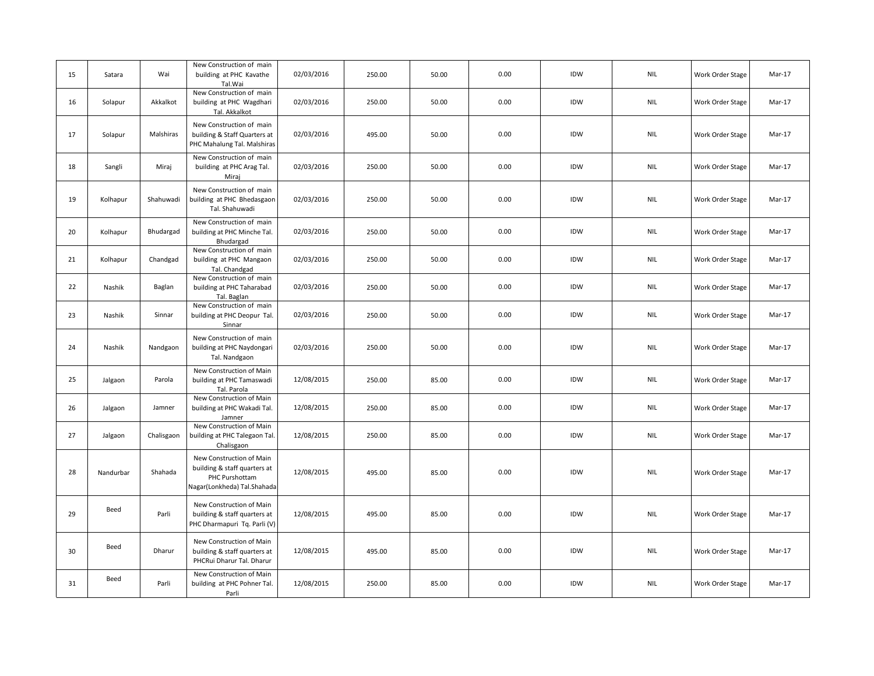| 15 | Satara    | Wai        | New Construction of main<br>building at PHC Kavathe<br>Tal.Wai                                            | 02/03/2016 | 250.00 | 50.00 | 0.00 | IDW | <b>NIL</b>                  | Work Order Stage | Mar-17 |
|----|-----------|------------|-----------------------------------------------------------------------------------------------------------|------------|--------|-------|------|-----|-----------------------------|------------------|--------|
| 16 | Solapur   | Akkalkot   | New Construction of main<br>building at PHC Wagdhari<br>Tal. Akkalkot                                     | 02/03/2016 | 250.00 | 50.00 | 0.00 | IDW | <b>NIL</b>                  | Work Order Stage | Mar-17 |
| 17 | Solapur   | Malshiras  | New Construction of main<br>building & Staff Quarters at<br>PHC Mahalung Tal. Malshiras                   | 02/03/2016 | 495.00 | 50.00 | 0.00 | IDW | <b>NIL</b>                  | Work Order Stage | Mar-17 |
| 18 | Sangli    | Miraj      | New Construction of main<br>building at PHC Arag Tal.<br>Miraj                                            | 02/03/2016 | 250.00 | 50.00 | 0.00 | IDW | <b>NIL</b>                  | Work Order Stage | Mar-17 |
| 19 | Kolhapur  | Shahuwadi  | New Construction of main<br>building at PHC Bhedasgaon<br>Tal. Shahuwadi                                  | 02/03/2016 | 250.00 | 50.00 | 0.00 | IDW | <b>NIL</b>                  | Work Order Stage | Mar-17 |
| 20 | Kolhapur  | Bhudargad  | New Construction of main<br>building at PHC Minche Tal.<br>Bhudargad                                      | 02/03/2016 | 250.00 | 50.00 | 0.00 | IDW | <b>NIL</b>                  | Work Order Stage | Mar-17 |
| 21 | Kolhapur  | Chandgad   | New Construction of main<br>building at PHC Mangaon<br>Tal. Chandgad                                      | 02/03/2016 | 250.00 | 50.00 | 0.00 | IDW | <b>NIL</b>                  | Work Order Stage | Mar-17 |
| 22 | Nashik    | Baglan     | New Construction of main<br>building at PHC Taharabad<br>Tal. Baglan                                      | 02/03/2016 | 250.00 | 50.00 | 0.00 | IDW | <b>NIL</b>                  | Work Order Stage | Mar-17 |
| 23 | Nashik    | Sinnar     | New Construction of main<br>building at PHC Deopur Tal.<br>Sinnar                                         | 02/03/2016 | 250.00 | 50.00 | 0.00 | IDW | <b>NIL</b>                  | Work Order Stage | Mar-17 |
| 24 | Nashik    | Nandgaon   | New Construction of main<br>building at PHC Naydongari<br>Tal. Nandgaon                                   | 02/03/2016 | 250.00 | 50.00 | 0.00 | IDW | <b>NIL</b>                  | Work Order Stage | Mar-17 |
| 25 | Jalgaon   | Parola     | New Construction of Main<br>building at PHC Tamaswadi<br>Tal. Parola                                      | 12/08/2015 | 250.00 | 85.00 | 0.00 | IDW | <b>NIL</b>                  | Work Order Stage | Mar-17 |
| 26 | Jalgaon   | Jamner     | New Construction of Main<br>building at PHC Wakadi Tal.<br>Jamner                                         | 12/08/2015 | 250.00 | 85.00 | 0.00 | IDW | $\ensuremath{\mathsf{NIL}}$ | Work Order Stage | Mar-17 |
| 27 | Jalgaon   | Chalisgaon | New Construction of Main<br>building at PHC Talegaon Tal.<br>Chalisgaon                                   | 12/08/2015 | 250.00 | 85.00 | 0.00 | IDW | <b>NIL</b>                  | Work Order Stage | Mar-17 |
| 28 | Nandurbar | Shahada    | New Construction of Main<br>building & staff quarters at<br>PHC Purshottam<br>Nagar(Lonkheda) Tal.Shahada | 12/08/2015 | 495.00 | 85.00 | 0.00 | IDW | <b>NIL</b>                  | Work Order Stage | Mar-17 |
| 29 | Beed      | Parli      | New Construction of Main<br>building & staff quarters at<br>PHC Dharmapuri Tq. Parli (V)                  | 12/08/2015 | 495.00 | 85.00 | 0.00 | IDW | <b>NIL</b>                  | Work Order Stage | Mar-17 |
| 30 | Beed      | Dharur     | New Construction of Main<br>building & staff quarters at<br>PHCRui Dharur Tal. Dharur                     | 12/08/2015 | 495.00 | 85.00 | 0.00 | IDW | <b>NIL</b>                  | Work Order Stage | Mar-17 |
| 31 | Beed      | Parli      | New Construction of Main<br>building at PHC Pohner Tal.<br>Parli                                          | 12/08/2015 | 250.00 | 85.00 | 0.00 | IDW | <b>NIL</b>                  | Work Order Stage | Mar-17 |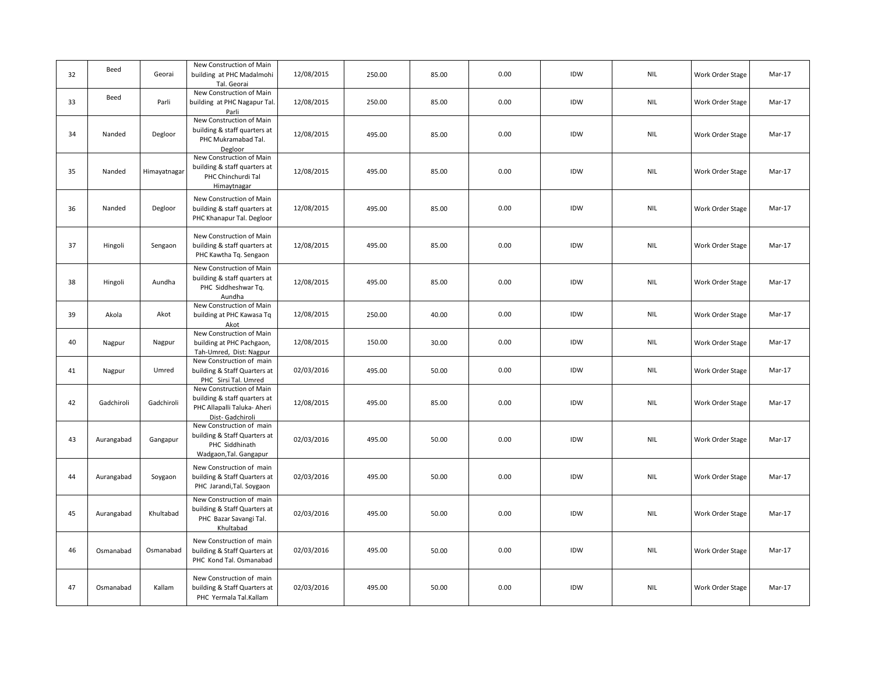| 32 | Beed       | Georai       | New Construction of Main<br>building at PHC Madalmohi<br>Tal. Georai                                       | 12/08/2015 | 250.00 | 85.00 | 0.00 | IDW | <b>NIL</b>                  | Work Order Stage | Mar-17 |
|----|------------|--------------|------------------------------------------------------------------------------------------------------------|------------|--------|-------|------|-----|-----------------------------|------------------|--------|
| 33 | Beed       | Parli        | New Construction of Main<br>building at PHC Nagapur Tal.<br>Parli                                          | 12/08/2015 | 250.00 | 85.00 | 0.00 | IDW | <b>NIL</b>                  | Work Order Stage | Mar-17 |
| 34 | Nanded     | Degloor      | New Construction of Main<br>building & staff quarters at<br>PHC Mukramabad Tal.<br>Degloor                 | 12/08/2015 | 495.00 | 85.00 | 0.00 | IDW | <b>NIL</b>                  | Work Order Stage | Mar-17 |
| 35 | Nanded     | Himayatnagar | New Construction of Main<br>building & staff quarters at<br>PHC Chinchurdi Tal<br>Himaytnagar              | 12/08/2015 | 495.00 | 85.00 | 0.00 | IDW | $\ensuremath{\mathsf{NIL}}$ | Work Order Stage | Mar-17 |
| 36 | Nanded     | Degloor      | New Construction of Main<br>building & staff quarters at<br>PHC Khanapur Tal. Degloor                      | 12/08/2015 | 495.00 | 85.00 | 0.00 | IDW | <b>NIL</b>                  | Work Order Stage | Mar-17 |
| 37 | Hingoli    | Sengaon      | New Construction of Main<br>building & staff quarters at<br>PHC Kawtha Tq. Sengaon                         | 12/08/2015 | 495.00 | 85.00 | 0.00 | IDW | <b>NIL</b>                  | Work Order Stage | Mar-17 |
| 38 | Hingoli    | Aundha       | New Construction of Main<br>building & staff quarters at<br>PHC Siddheshwar Tq.<br>Aundha                  | 12/08/2015 | 495.00 | 85.00 | 0.00 | IDW | <b>NIL</b>                  | Work Order Stage | Mar-17 |
| 39 | Akola      | Akot         | New Construction of Main<br>building at PHC Kawasa Tq<br>Akot                                              | 12/08/2015 | 250.00 | 40.00 | 0.00 | IDW | <b>NIL</b>                  | Work Order Stage | Mar-17 |
| 40 | Nagpur     | Nagpur       | New Construction of Main<br>building at PHC Pachgaon,<br>Tah-Umred, Dist: Nagpur                           | 12/08/2015 | 150.00 | 30.00 | 0.00 | IDW | $\ensuremath{\mathsf{NIL}}$ | Work Order Stage | Mar-17 |
| 41 | Nagpur     | Umred        | New Construction of main<br>building & Staff Quarters at<br>PHC Sirsi Tal. Umred                           | 02/03/2016 | 495.00 | 50.00 | 0.00 | IDW | <b>NIL</b>                  | Work Order Stage | Mar-17 |
| 42 | Gadchiroli | Gadchiroli   | New Construction of Main<br>building & staff quarters at<br>PHC Allapalli Taluka- Aheri<br>Dist-Gadchiroli | 12/08/2015 | 495.00 | 85.00 | 0.00 | IDW | <b>NIL</b>                  | Work Order Stage | Mar-17 |
| 43 | Aurangabad | Gangapur     | New Construction of main<br>building & Staff Quarters at<br>PHC Siddhinath<br>Wadgaon, Tal. Gangapur       | 02/03/2016 | 495.00 | 50.00 | 0.00 | IDW | $\ensuremath{\mathsf{NIL}}$ | Work Order Stage | Mar-17 |
| 44 | Aurangabad | Soygaon      | New Construction of main<br>building & Staff Quarters at<br>PHC Jarandi, Tal. Soygaon                      | 02/03/2016 | 495.00 | 50.00 | 0.00 | IDW | <b>NIL</b>                  | Work Order Stage | Mar-17 |
| 45 | Aurangabad | Khultabad    | New Construction of main<br>building & Staff Quarters at<br>PHC Bazar Savangi Tal.<br>Khultabad            | 02/03/2016 | 495.00 | 50.00 | 0.00 | IDW | <b>NIL</b>                  | Work Order Stage | Mar-17 |
| 46 | Osmanabad  | Osmanabad    | New Construction of main<br>building & Staff Quarters at<br>PHC Kond Tal. Osmanabad                        | 02/03/2016 | 495.00 | 50.00 | 0.00 | IDW | <b>NIL</b>                  | Work Order Stage | Mar-17 |
| 47 | Osmanabad  | Kallam       | New Construction of main<br>building & Staff Quarters at<br>PHC Yermala Tal.Kallam                         | 02/03/2016 | 495.00 | 50.00 | 0.00 | IDW | <b>NIL</b>                  | Work Order Stage | Mar-17 |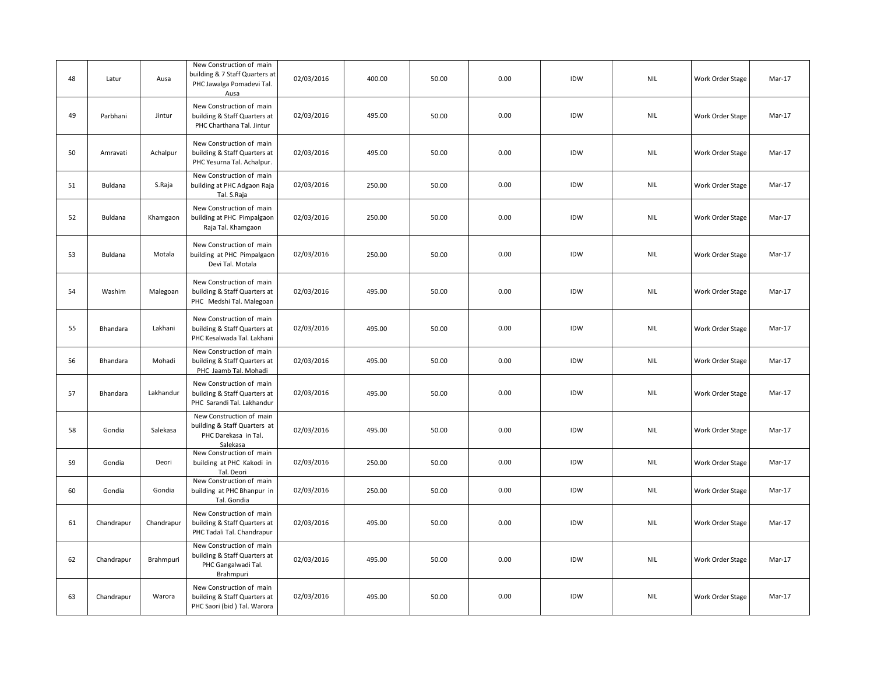| 48 | Latur      | Ausa       | New Construction of main<br>building & 7 Staff Quarters at<br>PHC Jawalga Pomadevi Tal.<br>Ausa | 02/03/2016 | 400.00 | 50.00 | 0.00 | IDW | <b>NIL</b>                  | Work Order Stage | Mar-17 |
|----|------------|------------|-------------------------------------------------------------------------------------------------|------------|--------|-------|------|-----|-----------------------------|------------------|--------|
| 49 | Parbhani   | Jintur     | New Construction of main<br>building & Staff Quarters at<br>PHC Charthana Tal. Jintur           | 02/03/2016 | 495.00 | 50.00 | 0.00 | IDW | <b>NIL</b>                  | Work Order Stage | Mar-17 |
| 50 | Amravati   | Achalpur   | New Construction of main<br>building & Staff Quarters at<br>PHC Yesurna Tal. Achalpur.          | 02/03/2016 | 495.00 | 50.00 | 0.00 | IDW | <b>NIL</b>                  | Work Order Stage | Mar-17 |
| 51 | Buldana    | S.Raja     | New Construction of main<br>building at PHC Adgaon Raja<br>Tal. S.Raja                          | 02/03/2016 | 250.00 | 50.00 | 0.00 | IDW | <b>NIL</b>                  | Work Order Stage | Mar-17 |
| 52 | Buldana    | Khamgaon   | New Construction of main<br>building at PHC Pimpalgaon<br>Raja Tal. Khamgaon                    | 02/03/2016 | 250.00 | 50.00 | 0.00 | IDW | $\ensuremath{\mathsf{NIL}}$ | Work Order Stage | Mar-17 |
| 53 | Buldana    | Motala     | New Construction of main<br>building at PHC Pimpalgaon<br>Devi Tal. Motala                      | 02/03/2016 | 250.00 | 50.00 | 0.00 | IDW | $\ensuremath{\mathsf{NIL}}$ | Work Order Stage | Mar-17 |
| 54 | Washim     | Malegoan   | New Construction of main<br>building & Staff Quarters at<br>PHC Medshi Tal. Malegoan            | 02/03/2016 | 495.00 | 50.00 | 0.00 | IDW | $\ensuremath{\mathsf{NIL}}$ | Work Order Stage | Mar-17 |
| 55 | Bhandara   | Lakhani    | New Construction of main<br>building & Staff Quarters at<br>PHC Kesalwada Tal. Lakhani          | 02/03/2016 | 495.00 | 50.00 | 0.00 | IDW | <b>NIL</b>                  | Work Order Stage | Mar-17 |
| 56 | Bhandara   | Mohadi     | New Construction of main<br>building & Staff Quarters at<br>PHC Jaamb Tal. Mohadi               | 02/03/2016 | 495.00 | 50.00 | 0.00 | IDW | <b>NIL</b>                  | Work Order Stage | Mar-17 |
| 57 | Bhandara   | Lakhandur  | New Construction of main<br>building & Staff Quarters at<br>PHC Sarandi Tal. Lakhandur          | 02/03/2016 | 495.00 | 50.00 | 0.00 | IDW | <b>NIL</b>                  | Work Order Stage | Mar-17 |
| 58 | Gondia     | Salekasa   | New Construction of main<br>building & Staff Quarters at<br>PHC Darekasa in Tal.<br>Salekasa    | 02/03/2016 | 495.00 | 50.00 | 0.00 | IDW | $\ensuremath{\mathsf{NIL}}$ | Work Order Stage | Mar-17 |
| 59 | Gondia     | Deori      | New Construction of main<br>building at PHC Kakodi in<br>Tal. Deori                             | 02/03/2016 | 250.00 | 50.00 | 0.00 | IDW | $\ensuremath{\mathsf{NIL}}$ | Work Order Stage | Mar-17 |
| 60 | Gondia     | Gondia     | New Construction of main<br>building at PHC Bhanpur in<br>Tal. Gondia                           | 02/03/2016 | 250.00 | 50.00 | 0.00 | IDW | <b>NIL</b>                  | Work Order Stage | Mar-17 |
| 61 | Chandrapur | Chandrapur | New Construction of main<br>building & Staff Quarters at<br>PHC Tadali Tal. Chandrapur          | 02/03/2016 | 495.00 | 50.00 | 0.00 | IDW | $\ensuremath{\mathsf{NIL}}$ | Work Order Stage | Mar-17 |
| 62 | Chandrapur | Brahmpuri  | New Construction of main<br>building & Staff Quarters at<br>PHC Gangalwadi Tal.<br>Brahmpuri    | 02/03/2016 | 495.00 | 50.00 | 0.00 | IDW | <b>NIL</b>                  | Work Order Stage | Mar-17 |
| 63 | Chandrapur | Warora     | New Construction of main<br>building & Staff Quarters at<br>PHC Saori (bid) Tal. Warora         | 02/03/2016 | 495.00 | 50.00 | 0.00 | IDW | <b>NIL</b>                  | Work Order Stage | Mar-17 |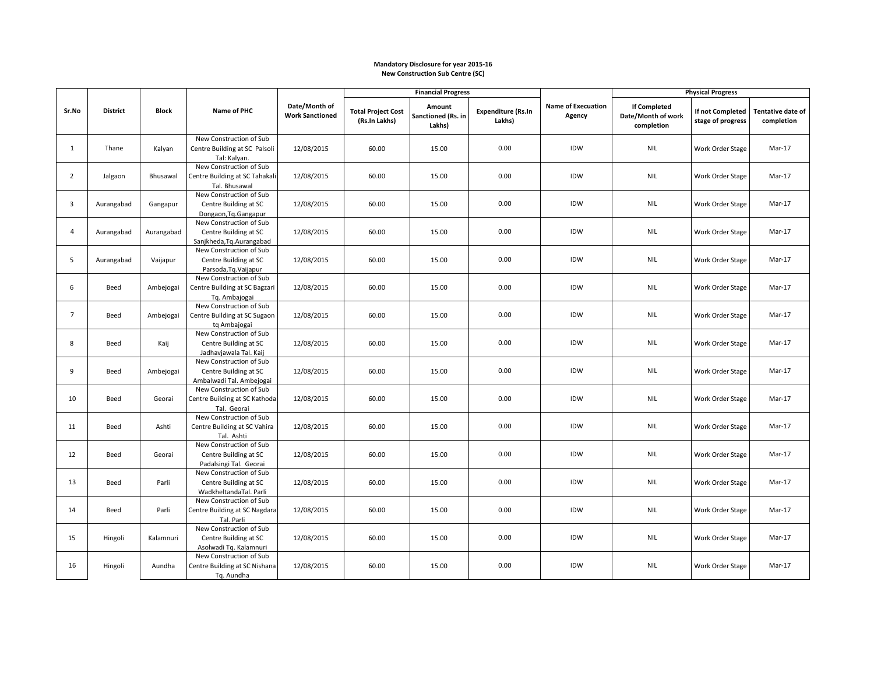## **Mandatory Disclosure for year 2015-16 New Construction Sub Centre (SC)**

|                |                 |              |                                                                               |                                         | <b>Financial Progress</b>                  |                                        |                                     |                                     | <b>Physical Progress</b>                                |                                       |                                 |
|----------------|-----------------|--------------|-------------------------------------------------------------------------------|-----------------------------------------|--------------------------------------------|----------------------------------------|-------------------------------------|-------------------------------------|---------------------------------------------------------|---------------------------------------|---------------------------------|
| Sr.No          | <b>District</b> | <b>Block</b> | Name of PHC                                                                   | Date/Month of<br><b>Work Sanctioned</b> | <b>Total Project Cost</b><br>(Rs.In Lakhs) | Amount<br>Sanctioned (Rs. in<br>Lakhs) | <b>Expenditure (Rs.In</b><br>Lakhs) | <b>Name of Execuation</b><br>Agency | <b>If Completed</b><br>Date/Month of work<br>completion | If not Completed<br>stage of progress | Tentative date of<br>completion |
| $\mathbf{1}$   | Thane           | Kalyan       | New Construction of Sub<br>Centre Building at SC Palsoli<br>Tal: Kalyan.      | 12/08/2015                              | 60.00                                      | 15.00                                  | 0.00                                | <b>IDW</b>                          | <b>NIL</b>                                              | Work Order Stage                      | Mar-17                          |
| $\overline{2}$ | Jalgaon         | Bhusawal     | New Construction of Sub<br>Centre Building at SC Tahakali<br>Tal. Bhusawal    | 12/08/2015                              | 60.00                                      | 15.00                                  | 0.00                                | IDW                                 | <b>NIL</b>                                              | Work Order Stage                      | Mar-17                          |
| $\overline{3}$ | Aurangabad      | Gangapur     | New Construction of Sub<br>Centre Building at SC<br>Dongaon, Tq. Gangapur     | 12/08/2015                              | 60.00                                      | 15.00                                  | 0.00                                | IDW                                 | <b>NIL</b>                                              | Work Order Stage                      | Mar-17                          |
| 4              | Aurangabad      | Aurangabad   | New Construction of Sub<br>Centre Building at SC<br>Sanjkheda, Tg. Aurangabad | 12/08/2015                              | 60.00                                      | 15.00                                  | 0.00                                | IDW                                 | <b>NIL</b>                                              | Work Order Stage                      | Mar-17                          |
| 5              | Aurangabad      | Vaijapur     | New Construction of Sub<br>Centre Building at SC<br>Parsoda, Tq. Vaijapur     | 12/08/2015                              | 60.00                                      | 15.00                                  | 0.00                                | IDW                                 | <b>NIL</b>                                              | Work Order Stage                      | Mar-17                          |
| 6              | Beed            | Ambejogai    | New Construction of Sub<br>Centre Building at SC Bagzari<br>Tq. Ambajogai     | 12/08/2015                              | 60.00                                      | 15.00                                  | 0.00                                | IDW                                 | <b>NIL</b>                                              | Work Order Stage                      | Mar-17                          |
| $\overline{7}$ | Beed            | Ambejogai    | New Construction of Sub<br>Centre Building at SC Sugaon<br>tq Ambajogai       | 12/08/2015                              | 60.00                                      | 15.00                                  | 0.00                                | IDW                                 | <b>NIL</b>                                              | Work Order Stage                      | Mar-17                          |
| 8              | Beed            | Kaij         | New Construction of Sub<br>Centre Building at SC<br>Jadhavjawala Tal. Kaij    | 12/08/2015                              | 60.00                                      | 15.00                                  | 0.00                                | <b>IDW</b>                          | <b>NIL</b>                                              | Work Order Stage                      | Mar-17                          |
| 9              | Beed            | Ambejogai    | New Construction of Sub<br>Centre Building at SC<br>Ambalwadi Tal. Ambejogai  | 12/08/2015                              | 60.00                                      | 15.00                                  | 0.00                                | IDW                                 | <b>NIL</b>                                              | Work Order Stage                      | Mar-17                          |
| 10             | Beed            | Georai       | New Construction of Sub<br>Centre Building at SC Kathoda<br>Tal. Georai       | 12/08/2015                              | 60.00                                      | 15.00                                  | 0.00                                | <b>IDW</b>                          | <b>NIL</b>                                              | Work Order Stage                      | Mar-17                          |
| 11             | Beed            | Ashti        | New Construction of Sub<br>Centre Building at SC Vahira<br>Tal. Ashti         | 12/08/2015                              | 60.00                                      | 15.00                                  | 0.00                                | <b>IDW</b>                          | <b>NIL</b>                                              | Work Order Stage                      | Mar-17                          |
| 12             | Beed            | Georai       | New Construction of Sub<br>Centre Building at SC<br>Padalsingi Tal. Georai    | 12/08/2015                              | 60.00                                      | 15.00                                  | 0.00                                | IDW                                 | <b>NIL</b>                                              | Work Order Stage                      | Mar-17                          |
| 13             | Beed            | Parli        | New Construction of Sub<br>Centre Building at SC<br>WadkheltandaTal. Parli    | 12/08/2015                              | 60.00                                      | 15.00                                  | 0.00                                | IDW                                 | <b>NIL</b>                                              | Work Order Stage                      | Mar-17                          |
| 14             | Beed            | Parli        | New Construction of Sub<br>Centre Building at SC Nagdara<br>Tal. Parli        | 12/08/2015                              | 60.00                                      | 15.00                                  | 0.00                                | IDW                                 | <b>NIL</b>                                              | Work Order Stage                      | Mar-17                          |
| 15             | Hingoli         | Kalamnuri    | New Construction of Sub<br>Centre Building at SC<br>Asolwadi Tq. Kalamnuri    | 12/08/2015                              | 60.00                                      | 15.00                                  | 0.00                                | IDW                                 | <b>NIL</b>                                              | Work Order Stage                      | Mar-17                          |
| 16             | Hingoli         | Aundha       | New Construction of Sub<br>Centre Building at SC Nishana<br>Tq. Aundha        | 12/08/2015                              | 60.00                                      | 15.00                                  | 0.00                                | IDW                                 | <b>NIL</b>                                              | Work Order Stage                      | Mar-17                          |